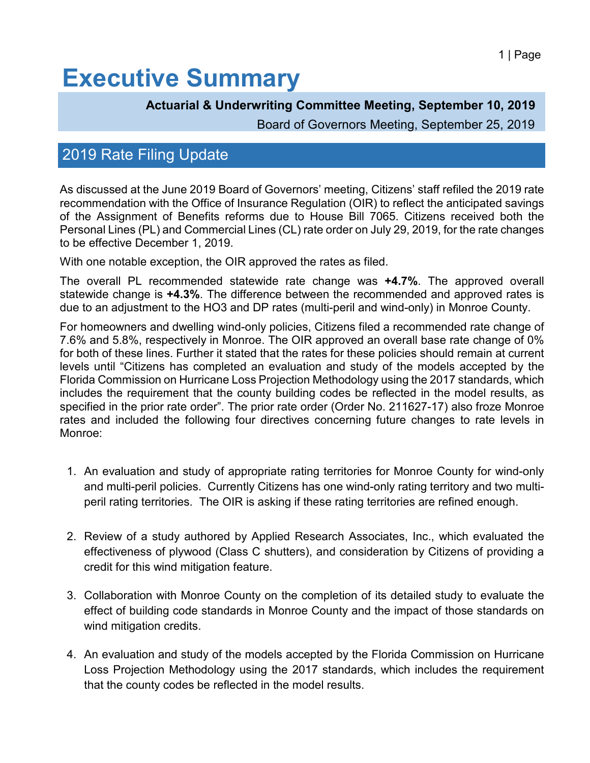## **Executive Summary**

#### **Actuarial & Underwriting Committee Meeting, September 10, 2019**

Board of Governors Meeting, September 25, 2019

### 2019 Rate Filing Update

As discussed at the June 2019 Board of Governors' meeting, Citizens' staff refiled the 2019 rate recommendation with the Office of Insurance Regulation (OIR) to reflect the anticipated savings of the Assignment of Benefits reforms due to House Bill 7065. Citizens received both the Personal Lines (PL) and Commercial Lines (CL) rate order on July 29, 2019, for the rate changes to be effective December 1, 2019.

With one notable exception, the OIR approved the rates as filed.

The overall PL recommended statewide rate change was **+4.7%**. The approved overall statewide change is **+4.3%**. The difference between the recommended and approved rates is due to an adjustment to the HO3 and DP rates (multi-peril and wind-only) in Monroe County.

For homeowners and dwelling wind-only policies, Citizens filed a recommended rate change of 7.6% and 5.8%, respectively in Monroe. The OIR approved an overall base rate change of 0% for both of these lines. Further it stated that the rates for these policies should remain at current levels until "Citizens has completed an evaluation and study of the models accepted by the Florida Commission on Hurricane Loss Projection Methodology using the 2017 standards, which includes the requirement that the county building codes be reflected in the model results, as specified in the prior rate order". The prior rate order (Order No. 211627-17) also froze Monroe rates and included the following four directives concerning future changes to rate levels in Monroe:

- 1. An evaluation and study of appropriate rating territories for Monroe County for wind-only and multi-peril policies. Currently Citizens has one wind-only rating territory and two multiperil rating territories. The OIR is asking if these rating territories are refined enough.
- 2. Review of a study authored by Applied Research Associates, Inc., which evaluated the effectiveness of plywood (Class C shutters), and consideration by Citizens of providing a credit for this wind mitigation feature.
- 3. Collaboration with Monroe County on the completion of its detailed study to evaluate the effect of building code standards in Monroe County and the impact of those standards on wind mitigation credits.
- 4. An evaluation and study of the models accepted by the Florida Commission on Hurricane Loss Projection Methodology using the 2017 standards, which includes the requirement that the county codes be reflected in the model results.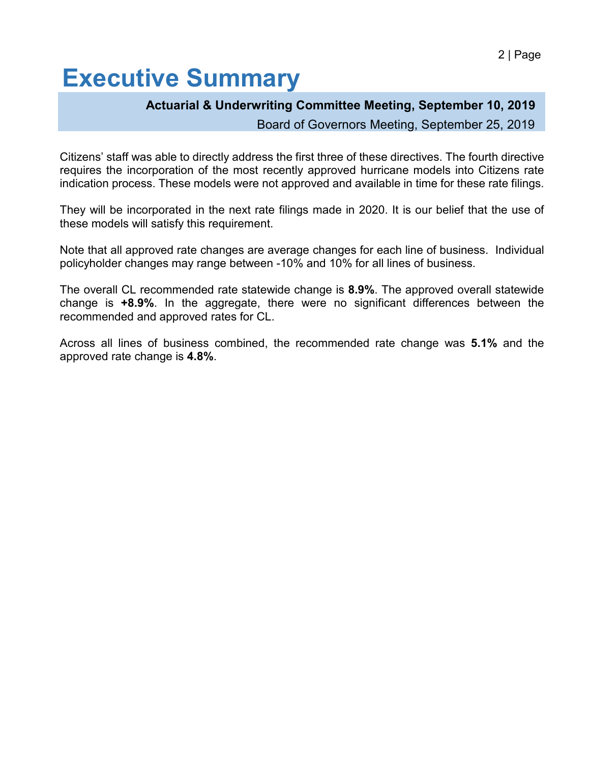# **Executive Summary**

#### **Actuarial & Underwriting Committee Meeting, September 10, 2019**

Board of Governors Meeting, September 25, 2019

Citizens' staff was able to directly address the first three of these directives. The fourth directive requires the incorporation of the most recently approved hurricane models into Citizens rate indication process. These models were not approved and available in time for these rate filings.

They will be incorporated in the next rate filings made in 2020. It is our belief that the use of these models will satisfy this requirement.

Note that all approved rate changes are average changes for each line of business. Individual policyholder changes may range between -10% and 10% for all lines of business.

The overall CL recommended rate statewide change is **8.9%**. The approved overall statewide change is **+8.9%**. In the aggregate, there were no significant differences between the recommended and approved rates for CL.

Across all lines of business combined, the recommended rate change was **5.1%** and the approved rate change is **4.8%**.